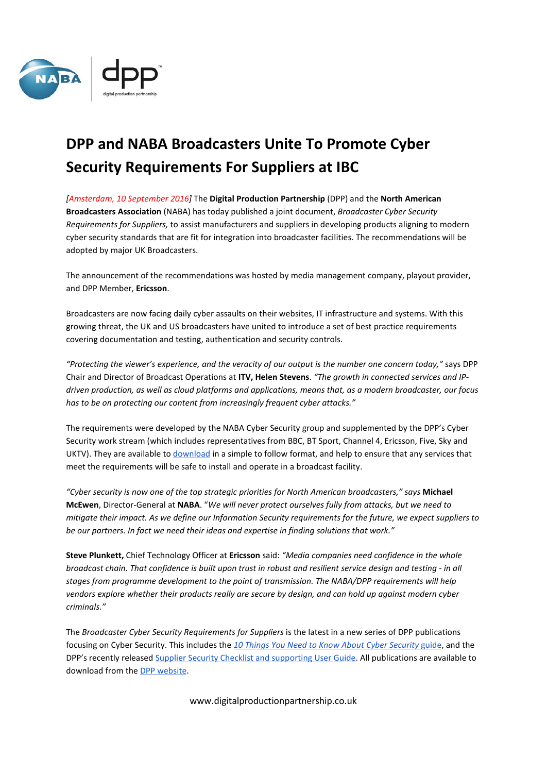

## **DPP and NABA Broadcasters Unite To Promote Cyber Security Requirements For Suppliers at IBC**

*[Amsterdam, 10 September 2016]* The **Digital Production Partnership** (DPP) and the **North American Broadcasters Association** (NABA) has today published a joint document, *Broadcaster Cyber Security Requirements for Suppliers,* to assist manufacturers and suppliers in developing products aligning to modern cyber security standards that are fit for integration into broadcaster facilities. The recommendations will be adopted by major UK Broadcasters.

The announcement of the recommendations was hosted by media management company, playout provider, and DPP Member, **Ericsson**.

Broadcasters are now facing daily cyber assaults on their websites, IT infrastructure and systems. With this growing threat, the UK and US broadcasters have united to introduce a set of best practice requirements covering documentation and testing, authentication and security controls.

*"Protecting the viewer's experience, and the veracity of our output is the number one concern today,"* says DPP Chair and Director of Broadcast Operations at **ITV, Helen Stevens**. *"The growth in connected services and IPdriven production, as well as cloud platforms and applications, means that, as a modern broadcaster, our focus has to be on protecting our content from increasingly frequent cyber attacks."*

The requirements were developed by the NABA Cyber Security group and supplemented by the DPP's Cyber Security work stream (which includes representatives from BBC, BT Sport, Channel 4, Ericsson, Five, Sky and UKTV). They are available t[o download](https://www.digitalproductionpartnership.co.uk/what-we-do/guides-reports/technical-guides/naba-dpp-cyber-security/) in a simple to follow format, and help to ensure that any services that meet the requirements will be safe to install and operate in a broadcast facility.

*"Cyber security is now one of the top strategic priorities for North American broadcasters," says* **Michael McEwen**, Director-General at **NABA**. "*We will never protect ourselves fully from attacks, but we need to mitigate their impact. As we define our Information Security requirements for the future, we expect suppliers to be our partners. In fact we need their ideas and expertise in finding solutions that work."* 

**Steve Plunkett,** Chief Technology Officer at **Ericsson** said: *"Media companies need confidence in the whole broadcast chain. That confidence is built upon trust in robust and resilient service design and testing - in all stages from programme development to the point of transmission. The NABA/DPP requirements will help vendors explore whether their products really are secure by design, and can hold up against modern cyber criminals."*

The *Broadcaster Cyber Security Requirements for Suppliers* is the latest in a new series of DPP publications focusing on Cyber Security. This includes the *[10 Things You Need to Know About Cyber Security](https://www.digitalproductionpartnership.co.uk/what-we-do/guides-reports/10-things-guides/cyber-security/)* [guide,](https://www.digitalproductionpartnership.co.uk/what-we-do/guides-reports/10-things-guides/cyber-security/) and the DPP's recently released [Supplier Security Checklist and supporting User Guide.](https://www.digitalproductionpartnership.co.uk/what-we-do/guides-reports/user-guides/cyber-security/) All publications are available to download from th[e DPP website.](https://www.digitalproductionpartnership.co.uk/what-we-do/guides-reports/user-guides/cyber-security/)

www.digitalproductionpartnership.co.uk